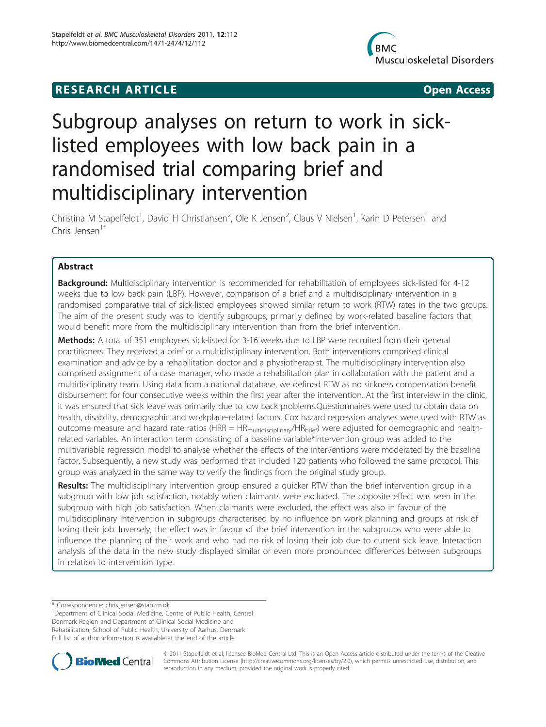## **RESEARCH ARTICLE Example 2018 12:00 Open Access**



# Subgroup analyses on return to work in sicklisted employees with low back pain in a randomised trial comparing brief and multidisciplinary intervention

Christina M Stapelfeldt<sup>1</sup>, David H Christiansen<sup>2</sup>, Ole K Jensen<sup>2</sup>, Claus V Nielsen<sup>1</sup>, Karin D Petersen<sup>1</sup> and Chris Jensen<sup>1\*</sup>

## Abstract

**Background:** Multidisciplinary intervention is recommended for rehabilitation of employees sick-listed for 4-12 weeks due to low back pain (LBP). However, comparison of a brief and a multidisciplinary intervention in a randomised comparative trial of sick-listed employees showed similar return to work (RTW) rates in the two groups. The aim of the present study was to identify subgroups, primarily defined by work-related baseline factors that would benefit more from the multidisciplinary intervention than from the brief intervention.

Methods: A total of 351 employees sick-listed for 3-16 weeks due to LBP were recruited from their general practitioners. They received a brief or a multidisciplinary intervention. Both interventions comprised clinical examination and advice by a rehabilitation doctor and a physiotherapist. The multidisciplinary intervention also comprised assignment of a case manager, who made a rehabilitation plan in collaboration with the patient and a multidisciplinary team. Using data from a national database, we defined RTW as no sickness compensation benefit disbursement for four consecutive weeks within the first year after the intervention. At the first interview in the clinic, it was ensured that sick leave was primarily due to low back problems.Questionnaires were used to obtain data on health, disability, demographic and workplace-related factors. Cox hazard regression analyses were used with RTW as outcome measure and hazard rate ratios (HRR =  $HR_{multisciplian}/HR_{brief}$ ) were adjusted for demographic and healthrelated variables. An interaction term consisting of a baseline variable\*intervention group was added to the multivariable regression model to analyse whether the effects of the interventions were moderated by the baseline factor. Subsequently, a new study was performed that included 120 patients who followed the same protocol. This group was analyzed in the same way to verify the findings from the original study group.

Results: The multidisciplinary intervention group ensured a quicker RTW than the brief intervention group in a subgroup with low job satisfaction, notably when claimants were excluded. The opposite effect was seen in the subgroup with high job satisfaction. When claimants were excluded, the effect was also in favour of the multidisciplinary intervention in subgroups characterised by no influence on work planning and groups at risk of losing their job. Inversely, the effect was in favour of the brief intervention in the subgroups who were able to influence the planning of their work and who had no risk of losing their job due to current sick leave. Interaction analysis of the data in the new study displayed similar or even more pronounced differences between subgroups in relation to intervention type.

\* Correspondence: [chris.jensen@stab.rm.dk](mailto:chris.jensen@stab.rm.dk)

<sup>1</sup>Department of Clinical Social Medicine, Centre of Public Health, Central Denmark Region and Department of Clinical Social Medicine and Rehabilitation, School of Public Health, University of Aarhus, Denmark Full list of author information is available at the end of the article



© 2011 Stapelfeldt et al; licensee BioMed Central Ltd. This is an Open Access article distributed under the terms of the Creative Commons Attribution License [\(http://creativecommons.org/licenses/by/2.0](http://creativecommons.org/licenses/by/2.0)), which permits unrestricted use, distribution, and reproduction in any medium, provided the original work is properly cited.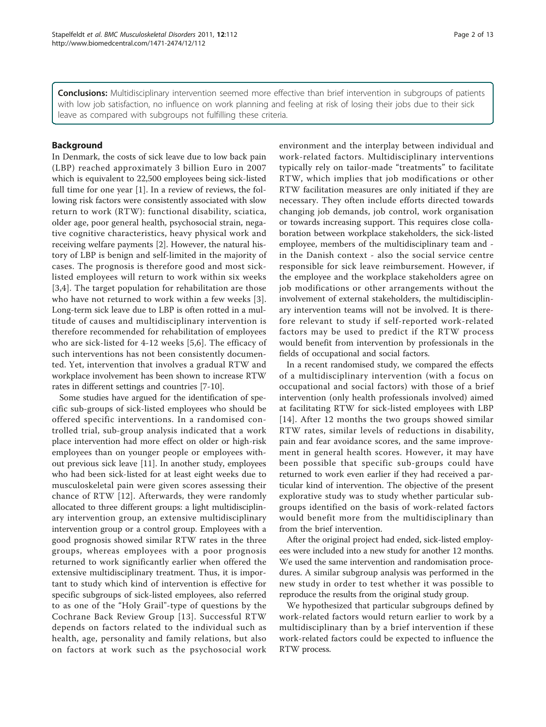**Conclusions:** Multidisciplinary intervention seemed more effective than brief intervention in subgroups of patients with low job satisfaction, no influence on work planning and feeling at risk of losing their jobs due to their sick leave as compared with subgroups not fulfilling these criteria.

## Background

In Denmark, the costs of sick leave due to low back pain (LBP) reached approximately 3 billion Euro in 2007 which is equivalent to 22,500 employees being sick-listed full time for one year [[1](#page-12-0)]. In a review of reviews, the following risk factors were consistently associated with slow return to work (RTW): functional disability, sciatica, older age, poor general health, psychosocial strain, negative cognitive characteristics, heavy physical work and receiving welfare payments [\[2](#page-12-0)]. However, the natural history of LBP is benign and self-limited in the majority of cases. The prognosis is therefore good and most sicklisted employees will return to work within six weeks [[3,4\]](#page-12-0). The target population for rehabilitation are those who have not returned to work within a few weeks [[3](#page-12-0)]. Long-term sick leave due to LBP is often rotted in a multitude of causes and multidisciplinary intervention is therefore recommended for rehabilitation of employees who are sick-listed for 4-12 weeks [[5](#page-12-0),[6\]](#page-12-0). The efficacy of such interventions has not been consistently documented. Yet, intervention that involves a gradual RTW and workplace involvement has been shown to increase RTW rates in different settings and countries [\[7](#page-12-0)-[10](#page-12-0)].

Some studies have argued for the identification of specific sub-groups of sick-listed employees who should be offered specific interventions. In a randomised controlled trial, sub-group analysis indicated that a work place intervention had more effect on older or high-risk employees than on younger people or employees without previous sick leave [\[11](#page-12-0)]. In another study, employees who had been sick-listed for at least eight weeks due to musculoskeletal pain were given scores assessing their chance of RTW [[12](#page-12-0)]. Afterwards, they were randomly allocated to three different groups: a light multidisciplinary intervention group, an extensive multidisciplinary intervention group or a control group. Employees with a good prognosis showed similar RTW rates in the three groups, whereas employees with a poor prognosis returned to work significantly earlier when offered the extensive multidisciplinary treatment. Thus, it is important to study which kind of intervention is effective for specific subgroups of sick-listed employees, also referred to as one of the "Holy Grail"-type of questions by the Cochrane Back Review Group [[13](#page-12-0)]. Successful RTW depends on factors related to the individual such as health, age, personality and family relations, but also on factors at work such as the psychosocial work environment and the interplay between individual and work-related factors. Multidisciplinary interventions typically rely on tailor-made "treatments" to facilitate RTW, which implies that job modifications or other RTW facilitation measures are only initiated if they are necessary. They often include efforts directed towards changing job demands, job control, work organisation or towards increasing support. This requires close collaboration between workplace stakeholders, the sick-listed employee, members of the multidisciplinary team and in the Danish context - also the social service centre responsible for sick leave reimbursement. However, if the employee and the workplace stakeholders agree on job modifications or other arrangements without the involvement of external stakeholders, the multidisciplinary intervention teams will not be involved. It is therefore relevant to study if self-reported work-related factors may be used to predict if the RTW process would benefit from intervention by professionals in the fields of occupational and social factors.

In a recent randomised study, we compared the effects of a multidisciplinary intervention (with a focus on occupational and social factors) with those of a brief intervention (only health professionals involved) aimed at facilitating RTW for sick-listed employees with LBP [[14\]](#page-12-0). After 12 months the two groups showed similar RTW rates, similar levels of reductions in disability, pain and fear avoidance scores, and the same improvement in general health scores. However, it may have been possible that specific sub-groups could have returned to work even earlier if they had received a particular kind of intervention. The objective of the present explorative study was to study whether particular subgroups identified on the basis of work-related factors would benefit more from the multidisciplinary than from the brief intervention.

After the original project had ended, sick-listed employees were included into a new study for another 12 months. We used the same intervention and randomisation procedures. A similar subgroup analysis was performed in the new study in order to test whether it was possible to reproduce the results from the original study group.

We hypothesized that particular subgroups defined by work-related factors would return earlier to work by a multidisciplinary than by a brief intervention if these work-related factors could be expected to influence the RTW process.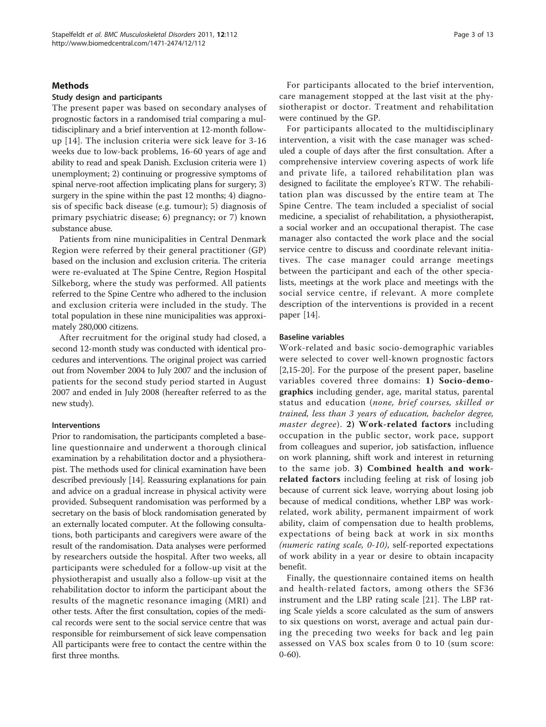#### Methods

## Study design and participants

The present paper was based on secondary analyses of prognostic factors in a randomised trial comparing a multidisciplinary and a brief intervention at 12-month followup [[14](#page-12-0)]. The inclusion criteria were sick leave for 3-16 weeks due to low-back problems, 16-60 years of age and ability to read and speak Danish. Exclusion criteria were 1) unemployment; 2) continuing or progressive symptoms of spinal nerve-root affection implicating plans for surgery; 3) surgery in the spine within the past 12 months; 4) diagnosis of specific back disease (e.g. tumour); 5) diagnosis of primary psychiatric disease; 6) pregnancy; or 7) known substance abuse.

Patients from nine municipalities in Central Denmark Region were referred by their general practitioner (GP) based on the inclusion and exclusion criteria. The criteria were re-evaluated at The Spine Centre, Region Hospital Silkeborg, where the study was performed. All patients referred to the Spine Centre who adhered to the inclusion and exclusion criteria were included in the study. The total population in these nine municipalities was approximately 280,000 citizens.

After recruitment for the original study had closed, a second 12-month study was conducted with identical procedures and interventions. The original project was carried out from November 2004 to July 2007 and the inclusion of patients for the second study period started in August 2007 and ended in July 2008 (hereafter referred to as the new study).

#### Interventions

Prior to randomisation, the participants completed a baseline questionnaire and underwent a thorough clinical examination by a rehabilitation doctor and a physiotherapist. The methods used for clinical examination have been described previously [\[14](#page-12-0)]. Reassuring explanations for pain and advice on a gradual increase in physical activity were provided. Subsequent randomisation was performed by a secretary on the basis of block randomisation generated by an externally located computer. At the following consultations, both participants and caregivers were aware of the result of the randomisation. Data analyses were performed by researchers outside the hospital. After two weeks, all participants were scheduled for a follow-up visit at the physiotherapist and usually also a follow-up visit at the rehabilitation doctor to inform the participant about the results of the magnetic resonance imaging (MRI) and other tests. After the first consultation, copies of the medical records were sent to the social service centre that was responsible for reimbursement of sick leave compensation All participants were free to contact the centre within the first three months.

For participants allocated to the brief intervention, care management stopped at the last visit at the physiotherapist or doctor. Treatment and rehabilitation were continued by the GP.

For participants allocated to the multidisciplinary intervention, a visit with the case manager was scheduled a couple of days after the first consultation. After a comprehensive interview covering aspects of work life and private life, a tailored rehabilitation plan was designed to facilitate the employee's RTW. The rehabilitation plan was discussed by the entire team at The Spine Centre. The team included a specialist of social medicine, a specialist of rehabilitation, a physiotherapist, a social worker and an occupational therapist. The case manager also contacted the work place and the social service centre to discuss and coordinate relevant initiatives. The case manager could arrange meetings between the participant and each of the other specialists, meetings at the work place and meetings with the social service centre, if relevant. A more complete description of the interventions is provided in a recent paper [\[14\]](#page-12-0).

#### Baseline variables

Work-related and basic socio-demographic variables were selected to cover well-known prognostic factors [[2,15-20\]](#page-12-0). For the purpose of the present paper, baseline variables covered three domains: 1) Socio-demographics including gender, age, marital status, parental status and education (none, brief courses, skilled or trained, less than 3 years of education, bachelor degree, master degree). 2) Work-related factors including occupation in the public sector, work pace, support from colleagues and superior, job satisfaction, influence on work planning, shift work and interest in returning to the same job. 3) Combined health and workrelated factors including feeling at risk of losing job because of current sick leave, worrying about losing job because of medical conditions, whether LBP was workrelated, work ability, permanent impairment of work ability, claim of compensation due to health problems, expectations of being back at work in six months (numeric rating scale, 0-10), self-reported expectations of work ability in a year or desire to obtain incapacity benefit.

Finally, the questionnaire contained items on health and health-related factors, among others the SF36 instrument and the LBP rating scale [\[21](#page-12-0)]. The LBP rating Scale yields a score calculated as the sum of answers to six questions on worst, average and actual pain during the preceding two weeks for back and leg pain assessed on VAS box scales from 0 to 10 (sum score: 0-60).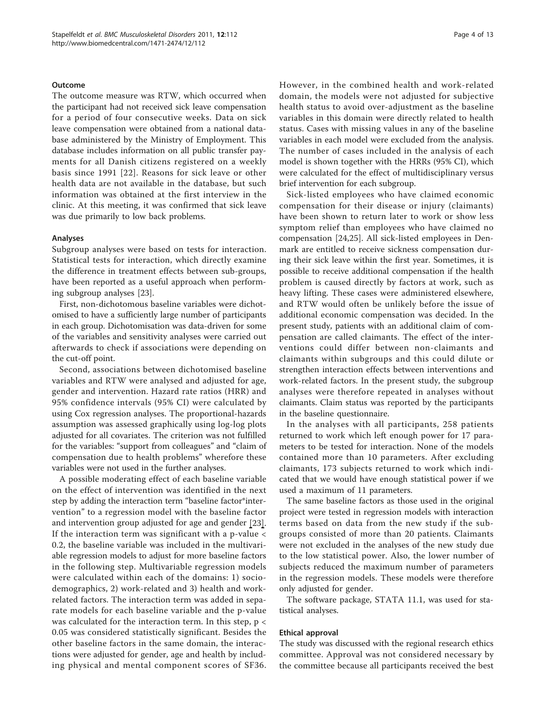#### Outcome

The outcome measure was RTW, which occurred when the participant had not received sick leave compensation for a period of four consecutive weeks. Data on sick leave compensation were obtained from a national database administered by the Ministry of Employment. This database includes information on all public transfer payments for all Danish citizens registered on a weekly basis since 1991 [[22](#page-12-0)]. Reasons for sick leave or other health data are not available in the database, but such information was obtained at the first interview in the clinic. At this meeting, it was confirmed that sick leave was due primarily to low back problems.

#### Analyses

Subgroup analyses were based on tests for interaction. Statistical tests for interaction, which directly examine the difference in treatment effects between sub-groups, have been reported as a useful approach when performing subgroup analyses [\[23\]](#page-12-0).

First, non-dichotomous baseline variables were dichotomised to have a sufficiently large number of participants in each group. Dichotomisation was data-driven for some of the variables and sensitivity analyses were carried out afterwards to check if associations were depending on the cut-off point.

Second, associations between dichotomised baseline variables and RTW were analysed and adjusted for age, gender and intervention. Hazard rate ratios (HRR) and 95% confidence intervals (95% CI) were calculated by using Cox regression analyses. The proportional-hazards assumption was assessed graphically using log-log plots adjusted for all covariates. The criterion was not fulfilled for the variables: "support from colleagues" and "claim of compensation due to health problems" wherefore these variables were not used in the further analyses.

A possible moderating effect of each baseline variable on the effect of intervention was identified in the next step by adding the interaction term "baseline factor\*intervention" to a regression model with the baseline factor and intervention group adjusted for age and gender [23]. If the interaction term was significant with a p-value < 0.2, the baseline variable was included in the multivariable regression models to adjust for more baseline factors in the following step. Multivariable regression models were calculated within each of the domains: 1) sociodemographics, 2) work-related and 3) health and workrelated factors. The interaction term was added in separate models for each baseline variable and the p-value was calculated for the interaction term. In this step, p < 0.05 was considered statistically significant. Besides the other baseline factors in the same domain, the interactions were adjusted for gender, age and health by including physical and mental component scores of SF36. However, in the combined health and work-related domain, the models were not adjusted for subjective health status to avoid over-adjustment as the baseline variables in this domain were directly related to health status. Cases with missing values in any of the baseline variables in each model were excluded from the analysis. The number of cases included in the analysis of each model is shown together with the HRRs (95% CI), which were calculated for the effect of multidisciplinary versus brief intervention for each subgroup.

Sick-listed employees who have claimed economic compensation for their disease or injury (claimants) have been shown to return later to work or show less symptom relief than employees who have claimed no compensation [[24,25](#page-12-0)]. All sick-listed employees in Denmark are entitled to receive sickness compensation during their sick leave within the first year. Sometimes, it is possible to receive additional compensation if the health problem is caused directly by factors at work, such as heavy lifting. These cases were administered elsewhere, and RTW would often be unlikely before the issue of additional economic compensation was decided. In the present study, patients with an additional claim of compensation are called claimants. The effect of the interventions could differ between non-claimants and claimants within subgroups and this could dilute or strengthen interaction effects between interventions and work-related factors. In the present study, the subgroup analyses were therefore repeated in analyses without claimants. Claim status was reported by the participants in the baseline questionnaire.

In the analyses with all participants, 258 patients returned to work which left enough power for 17 parameters to be tested for interaction. None of the models contained more than 10 parameters. After excluding claimants, 173 subjects returned to work which indicated that we would have enough statistical power if we used a maximum of 11 parameters.

The same baseline factors as those used in the original project were tested in regression models with interaction terms based on data from the new study if the subgroups consisted of more than 20 patients. Claimants were not excluded in the analyses of the new study due to the low statistical power. Also, the lower number of subjects reduced the maximum number of parameters in the regression models. These models were therefore only adjusted for gender.

The software package, STATA 11.1, was used for statistical analyses.

#### Ethical approval

The study was discussed with the regional research ethics committee. Approval was not considered necessary by the committee because all participants received the best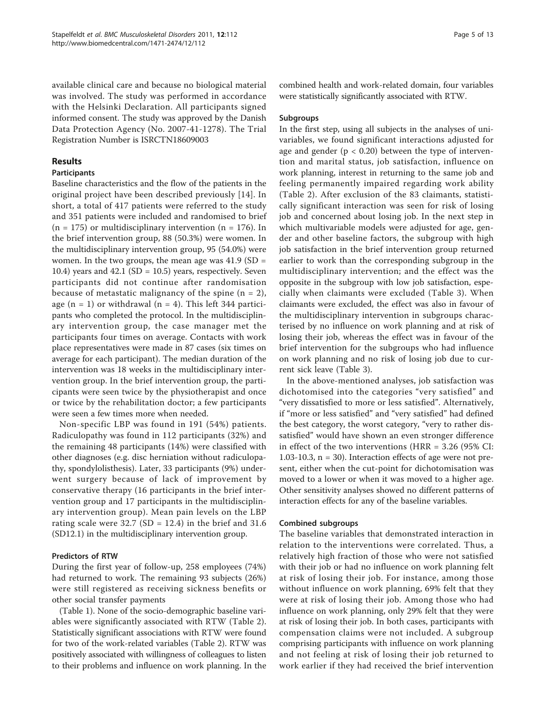available clinical care and because no biological material was involved. The study was performed in accordance with the Helsinki Declaration. All participants signed informed consent. The study was approved by the Danish Data Protection Agency (No. 2007-41-1278). The Trial Registration Number is ISRCTN18609003

## Results

#### **Participants**

Baseline characteristics and the flow of the patients in the original project have been described previously [[14](#page-12-0)]. In short, a total of 417 patients were referred to the study and 351 patients were included and randomised to brief  $(n = 175)$  or multidisciplinary intervention  $(n = 176)$ . In the brief intervention group, 88 (50.3%) were women. In the multidisciplinary intervention group, 95 (54.0%) were women. In the two groups, the mean age was  $41.9$  (SD = 10.4) years and  $42.1$  (SD = 10.5) years, respectively. Seven participants did not continue after randomisation because of metastatic malignancy of the spine  $(n = 2)$ , age  $(n = 1)$  or withdrawal  $(n = 4)$ . This left 344 participants who completed the protocol. In the multidisciplinary intervention group, the case manager met the participants four times on average. Contacts with work place representatives were made in 87 cases (six times on average for each participant). The median duration of the intervention was 18 weeks in the multidisciplinary intervention group. In the brief intervention group, the participants were seen twice by the physiotherapist and once or twice by the rehabilitation doctor; a few participants were seen a few times more when needed.

Non-specific LBP was found in 191 (54%) patients. Radiculopathy was found in 112 participants (32%) and the remaining 48 participants (14%) were classified with other diagnoses (e.g. disc herniation without radiculopathy, spondylolisthesis). Later, 33 participants (9%) underwent surgery because of lack of improvement by conservative therapy (16 participants in the brief intervention group and 17 participants in the multidisciplinary intervention group). Mean pain levels on the LBP rating scale were  $32.7$  (SD = 12.4) in the brief and 31.6 (SD12.1) in the multidisciplinary intervention group.

## Predictors of RTW

During the first year of follow-up, 258 employees (74%) had returned to work. The remaining 93 subjects (26%) were still registered as receiving sickness benefits or other social transfer payments

(Table [1](#page-5-0)). None of the socio-demographic baseline variables were significantly associated with RTW (Table [2](#page-6-0)). Statistically significant associations with RTW were found for two of the work-related variables (Table [2](#page-6-0)). RTW was positively associated with willingness of colleagues to listen to their problems and influence on work planning. In the combined health and work-related domain, four variables were statistically significantly associated with RTW.

## Subgroups

In the first step, using all subjects in the analyses of univariables, we found significant interactions adjusted for age and gender ( $p < 0.20$ ) between the type of intervention and marital status, job satisfaction, influence on work planning, interest in returning to the same job and feeling permanently impaired regarding work ability (Table [2](#page-6-0)). After exclusion of the 83 claimants, statistically significant interaction was seen for risk of losing job and concerned about losing job. In the next step in which multivariable models were adjusted for age, gender and other baseline factors, the subgroup with high job satisfaction in the brief intervention group returned earlier to work than the corresponding subgroup in the multidisciplinary intervention; and the effect was the opposite in the subgroup with low job satisfaction, especially when claimants were excluded (Table [3](#page-7-0)). When claimants were excluded, the effect was also in favour of the multidisciplinary intervention in subgroups characterised by no influence on work planning and at risk of losing their job, whereas the effect was in favour of the brief intervention for the subgroups who had influence on work planning and no risk of losing job due to current sick leave (Table [3\)](#page-7-0).

In the above-mentioned analyses, job satisfaction was dichotomised into the categories "very satisfied" and "very dissatisfied to more or less satisfied". Alternatively, if "more or less satisfied" and "very satisfied" had defined the best category, the worst category, "very to rather dissatisfied" would have shown an even stronger difference in effect of the two interventions (HRR = 3.26 (95% CI: 1.03-10.3,  $n = 30$ ). Interaction effects of age were not present, either when the cut-point for dichotomisation was moved to a lower or when it was moved to a higher age. Other sensitivity analyses showed no different patterns of interaction effects for any of the baseline variables.

## Combined subgroups

The baseline variables that demonstrated interaction in relation to the interventions were correlated. Thus, a relatively high fraction of those who were not satisfied with their job or had no influence on work planning felt at risk of losing their job. For instance, among those without influence on work planning, 69% felt that they were at risk of losing their job. Among those who had influence on work planning, only 29% felt that they were at risk of losing their job. In both cases, participants with compensation claims were not included. A subgroup comprising participants with influence on work planning and not feeling at risk of losing their job returned to work earlier if they had received the brief intervention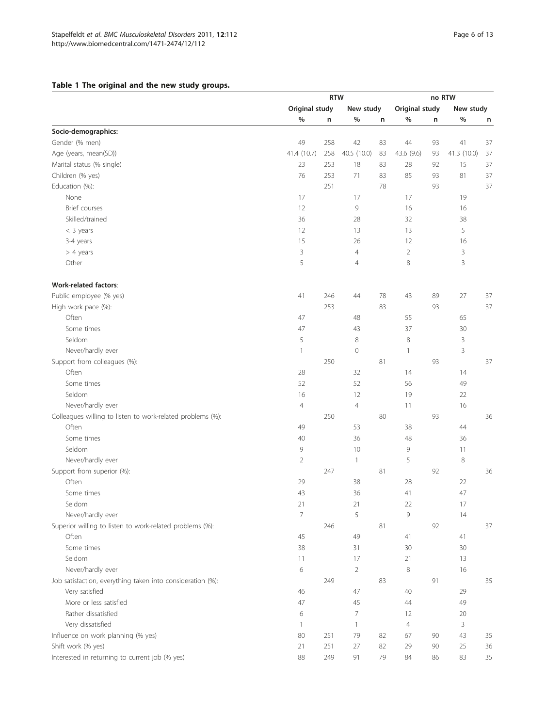## <span id="page-5-0"></span>Table 1 The original and the new study groups.

|                                                            |                | <b>RTW</b>                  |                |    |                | no RTW |             |           |  |
|------------------------------------------------------------|----------------|-----------------------------|----------------|----|----------------|--------|-------------|-----------|--|
|                                                            |                | Original study<br>New study |                |    | Original study |        |             | New study |  |
|                                                            | $\%$           | n                           | $\%$           | n  | $\%$           | n      | $\%$        | n         |  |
| Socio-demographics:                                        |                |                             |                |    |                |        |             |           |  |
| Gender (% men)                                             | 49             | 258                         | 42             | 83 | 44             | 93     | 41          | 37        |  |
| Age (years, mean(SD))                                      | 41.4 (10.7)    | 258                         | 40.5 (10.0)    | 83 | 43.6 (9.6)     | 93     | 41.3 (10.0) | 37        |  |
| Marital status (% single)                                  | 23             | 253                         | 18             | 83 | 28             | 92     | 15          | 37        |  |
| Children (% yes)                                           | 76             | 253                         | 71             | 83 | 85             | 93     | 81          | 37        |  |
| Education (%):                                             |                | 251                         |                | 78 |                | 93     |             | 37        |  |
| None                                                       | 17             |                             | 17             |    | 17             |        | 19          |           |  |
| Brief courses                                              | 12             |                             | 9              |    | 16             |        | 16          |           |  |
| Skilled/trained                                            | 36             |                             | 28             |    | 32             |        | 38          |           |  |
| $<$ 3 years                                                | 12             |                             | 13             |    | 13             |        | 5           |           |  |
| 3-4 years                                                  | 15             |                             | 26             |    | 12             |        | 16          |           |  |
| > 4 years                                                  | 3              |                             | $\overline{4}$ |    | $\overline{2}$ |        | 3           |           |  |
| Other                                                      | 5              |                             | $\overline{4}$ |    | 8              |        | 3           |           |  |
| Work-related factors:                                      |                |                             |                |    |                |        |             |           |  |
| Public employee (% yes)                                    | 41             | 246                         | 44             | 78 | 43             | 89     | 27          | 37        |  |
| High work pace (%):                                        |                | 253                         |                | 83 |                | 93     |             | 37        |  |
| Often                                                      | 47             |                             | 48             |    | 55             |        | 65          |           |  |
| Some times                                                 | 47             |                             | 43             |    | 37             |        | 30          |           |  |
| Seldom                                                     | 5              |                             | 8              |    | $\,8\,$        |        | 3           |           |  |
| Never/hardly ever                                          | $\mathbf{1}$   |                             | $\circ$        |    | $\mathbf{1}$   |        | 3           |           |  |
| Support from colleagues (%):                               |                | 250                         |                | 81 |                | 93     |             | 37        |  |
| Often                                                      | 28             |                             | 32             |    | 14             |        | 14          |           |  |
| Some times                                                 | 52             |                             | 52             |    | 56             |        | 49          |           |  |
| Seldom                                                     | 16             |                             | 12             |    | 19             |        | 22          |           |  |
| Never/hardly ever                                          | $\overline{4}$ |                             | $\overline{4}$ |    | 11             |        | 16          |           |  |
| Colleagues willing to listen to work-related problems (%): |                | 250                         |                | 80 |                | 93     |             | 36        |  |
| Often                                                      | 49             |                             | 53             |    | 38             |        | 44          |           |  |
| Some times                                                 | 40             |                             | 36             |    | 48             |        | 36          |           |  |
| Seldom                                                     | 9              |                             | 10             |    | 9              |        | 11          |           |  |
| Never/hardly ever                                          | $\overline{2}$ |                             | 1              |    | 5              |        | 8           |           |  |
| Support from superior (%):                                 |                | 247                         |                | 81 |                | 92     |             | 36        |  |
| Often                                                      | 29             |                             | 38             |    | 28             |        | 22          |           |  |
| Some times                                                 | 43             |                             | 36             |    | 41             |        | 47          |           |  |
| Seldom                                                     | 21             |                             | 21             |    | 22             |        | 17          |           |  |
| Never/hardly ever                                          | 7              |                             | 5              |    | 9              |        | 14          |           |  |
| Superior willing to listen to work-related problems (%):   |                | 246                         |                | 81 |                | 92     |             | 37        |  |
| Often                                                      | 45             |                             | 49             |    | 41             |        | 41          |           |  |
| Some times                                                 | 38             |                             | 31             |    | 30             |        | 30          |           |  |
| Seldom                                                     | 11             |                             | 17             |    | 21             |        | 13          |           |  |
| Never/hardly ever                                          | 6              |                             | $\overline{2}$ |    | 8              |        | 16          |           |  |
| Job satisfaction, everything taken into consideration (%): |                | 249                         |                | 83 |                | 91     |             | 35        |  |
| Very satisfied                                             | 46             |                             | 47             |    | 40             |        | 29          |           |  |
| More or less satisfied                                     | 47             |                             | 45             |    | 44             |        | 49          |           |  |
| Rather dissatisfied                                        | 6              |                             | 7              |    | 12             |        | 20          |           |  |
| Very dissatisfied                                          | $\mathbf{1}$   |                             | $\mathbf{1}$   |    | $\overline{4}$ |        | 3           |           |  |
| Influence on work planning (% yes)                         | 80             | 251                         | 79             | 82 | 67             | 90     | 43          | 35        |  |
| Shift work (% yes)                                         | 21             | 251                         | 27             | 82 | 29             | 90     | 25          | $36$      |  |
| Interested in returning to current job (% yes)             | 88             | 249                         | 91             | 79 | 84             | 86     | 83          | $35\,$    |  |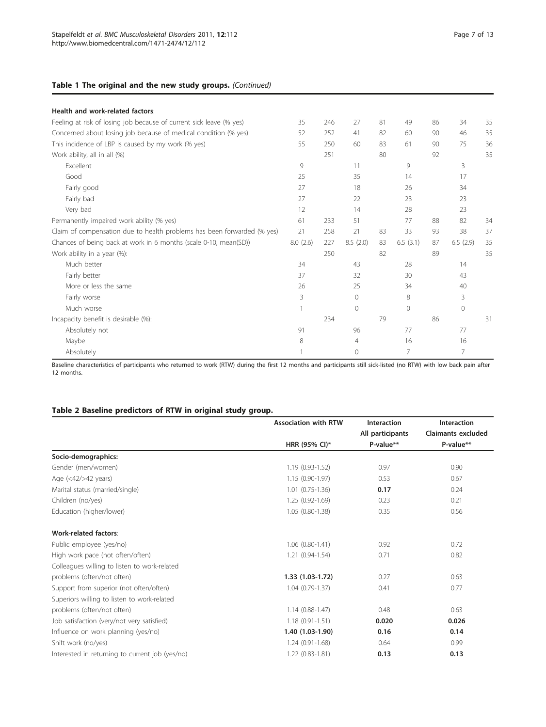## <span id="page-6-0"></span>Table 1 The original and the new study groups. (Continued)

| Health and work-related factors:                                        |          |     |                |    |                |    |          |    |
|-------------------------------------------------------------------------|----------|-----|----------------|----|----------------|----|----------|----|
| Feeling at risk of losing job because of current sick leave (% yes)     | 35       | 246 | 27             | 81 | 49             | 86 | 34       | 35 |
| Concerned about losing job because of medical condition (% yes)         | 52       | 252 | 41             | 82 | 60             | 90 | 46       | 35 |
| This incidence of LBP is caused by my work (% yes)                      | 55       | 250 | 60             | 83 | 61             | 90 | 75       | 36 |
| Work ability, all in all (%)                                            |          | 251 |                | 80 |                | 92 |          | 35 |
| Excellent                                                               | 9        |     | 11             |    | 9              |    | 3        |    |
| Good                                                                    | 25       |     | 35             |    | 14             |    | 17       |    |
| Fairly good                                                             | 27       |     | 18             |    | 26             |    | 34       |    |
| Fairly bad                                                              | 27       |     | 22             |    | 23             |    | 23       |    |
| Very bad                                                                | 12       |     | 14             |    | 28             |    | 23       |    |
| Permanently impaired work ability (% yes)                               | 61       | 233 | 51             |    | 77             | 88 | 82       | 34 |
| Claim of compensation due to health problems has been forwarded (% yes) | 21       | 258 | 21             | 83 | 33             | 93 | 38       | 37 |
| Chances of being back at work in 6 months (scale 0-10, mean(SD))        | 8.0(2.6) | 227 | 8.5(2.0)       | 83 | 6.5(3.1)       | 87 | 6.5(2.9) | 35 |
| Work ability in a year (%):                                             |          | 250 |                | 82 |                | 89 |          | 35 |
| Much better                                                             | 34       |     | 43             |    | 28             |    | 14       |    |
| Fairly better                                                           | 37       |     | 32             |    | 30             |    | 43       |    |
| More or less the same                                                   | 26       |     | 25             |    | 34             |    | 40       |    |
| Fairly worse                                                            | 3        |     | $\bigcirc$     |    | 8              |    | 3        |    |
| Much worse                                                              | 1        |     | $\Omega$       |    | $\circledcirc$ |    | 0        |    |
| Incapacity benefit is desirable (%):                                    |          | 234 |                | 79 |                | 86 |          | 31 |
| Absolutely not                                                          | 91       |     | 96             |    | 77             |    | 77       |    |
| Maybe                                                                   | 8        |     | $\overline{4}$ |    | 16             |    | 16       |    |
| Absolutely                                                              | 1        |     | 0              |    | $\overline{7}$ |    | 7        |    |

Baseline characteristics of participants who returned to work (RTW) during the first 12 months and participants still sick-listed (no RTW) with low back pain after 12 months.

## Table 2 Baseline predictors of RTW in original study group.

|                                                 | <b>Association with RTW</b> | Interaction      | Interaction               |  |
|-------------------------------------------------|-----------------------------|------------------|---------------------------|--|
|                                                 |                             | All participants | <b>Claimants excluded</b> |  |
|                                                 | HRR (95% CI)*               | P-value**        | P-value**                 |  |
| Socio-demographics:                             |                             |                  |                           |  |
| Gender (men/women)                              | $1.19(0.93 - 1.52)$         | 0.97             | 0.90                      |  |
| Age (<42/>42 years)                             | 1.15 (0.90-1.97)            | 0.53             | 0.67                      |  |
| Marital status (married/single)                 | $1.01(0.75-1.36)$           | 0.17             | 0.24                      |  |
| Children (no/yes)                               | 1.25 (0.92-1.69)            | 0.23             | 0.21                      |  |
| Education (higher/lower)                        | $1.05(0.80-1.38)$           | 0.35             | 0.56                      |  |
| Work-related factors:                           |                             |                  |                           |  |
| Public employee (yes/no)                        | $1.06(0.80-1.41)$           | 0.92             | 0.72                      |  |
| High work pace (not often/often)                | $1.21(0.94-1.54)$           | 0.71             | 0.82                      |  |
| Colleagues willing to listen to work-related    |                             |                  |                           |  |
| problems (often/not often)                      | $1.33(1.03-1.72)$           | 0.27             | 0.63                      |  |
| Support from superior (not often/often)         | $1.04(0.79-1.37)$           | 0.41             | 0.77                      |  |
| Superiors willing to listen to work-related     |                             |                  |                           |  |
| problems (often/not often)                      | $1.14(0.88-1.47)$           | 0.48             | 0.63                      |  |
| Job satisfaction (very/not very satisfied)      | $1.18(0.91 - 1.51)$         | 0.020            | 0.026                     |  |
| Influence on work planning (yes/no)             | $1.40(1.03-1.90)$           | 0.16             | 0.14                      |  |
| Shift work (no/yes)                             | $1.24(0.91-1.68)$           | 0.64             | 0.99                      |  |
| Interested in returning to current job (yes/no) | $1.22(0.83 - 1.81)$         | 0.13             | 0.13                      |  |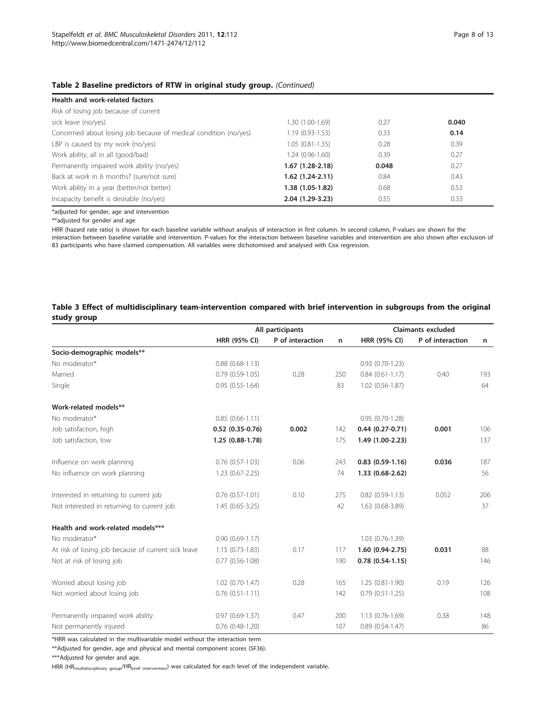#### <span id="page-7-0"></span>Table 2 Baseline predictors of RTW in original study group. (Continued)

| Health and work-related factors:                                 |                   |       |       |
|------------------------------------------------------------------|-------------------|-------|-------|
| Risk of losing job because of current                            |                   |       |       |
| sick leave (no/yes)                                              | 1.30 (1.00-1.69)  | 0.27  | 0.040 |
| Concerned about losing job because of medical condition (no/yes) | $1.19(0.93-1.53)$ | 0.33  | 0.14  |
| LBP is caused by my work (no/yes)                                | $1.05(0.81-1.35)$ | 0.28  | 0.39  |
| Work ability, all in all (good/bad)                              | $1.24(0.96-1.60)$ | 0.39  | 0.27  |
| Permanently impaired work ability (no/yes)                       | $1.67(1.28-2.18)$ | 0.048 | 0.27  |
| Back at work in 6 months? (sure/not sure)                        | $1.62(1.24-2.11)$ | 0.84  | 0.43  |
| Work ability in a year (better/not better)                       | $1.38(1.05-1.82)$ | 0.68  | 0.53  |
| Incapacity benefit is desirable (no/yes)                         | 2.04 (1.29-3.23)  | 0.55  | 0.33  |

\*adjusted for gender, age and intervention

\*\*adjusted for gender and age

HRR (hazard rate ratio) is shown for each baseline variable without analysis of interaction in first column. In second column, P-values are shown for the interaction between baseline variable and intervention. P-values for the interaction between baseline variables and intervention are also shown after exclusion of 83 participants who have claimed compensation. All variables were dichotomised and analysed with Cox regression.

#### Table 3 Effect of multidisciplinary team-intervention compared with brief intervention in subgroups from the original study group

|                                                     | All participants       |                  |     | <b>Claimants excluded</b> |                  |     |  |
|-----------------------------------------------------|------------------------|------------------|-----|---------------------------|------------------|-----|--|
|                                                     | <b>HRR (95% CI)</b>    | P of interaction | n   | <b>HRR (95% CI)</b>       | P of interaction | n   |  |
| Socio-demographic models**                          |                        |                  |     |                           |                  |     |  |
| No moderator*                                       | $0.88$ $(0.68 - 1.13)$ |                  |     | $0.93(0.70-1.23)$         |                  |     |  |
| Married                                             | $0.79(0.59-1.05)$      | 0.28             | 250 | $0.84(0.61 - 1.17)$       | 0.40             | 193 |  |
| Single                                              | $0.95(0.55-1.64)$      |                  | 83  | 1.02 (0.56-1.87)          |                  | 64  |  |
| Work-related models**                               |                        |                  |     |                           |                  |     |  |
| No moderator*                                       | $0.85(0.66 - 1.11)$    |                  |     | $0.95(0.70-1.28)$         |                  |     |  |
| Job satisfaction, high                              | $0.52(0.35-0.76)$      | 0.002            | 142 | $0.44(0.27-0.71)$         | 0.001            | 106 |  |
| Job satisfaction, low                               | $1.25(0.88-1.78)$      |                  | 175 | 1.49 (1.00-2.23)          |                  | 137 |  |
| Influence on work planning                          | $0.76$ $(0.57 - 1.03)$ | 0.06             | 243 | $0.83(0.59-1.16)$         | 0.036            | 187 |  |
| No influence on work planning                       | $1.23(0.67 - 2.25)$    |                  | 74  | $1.33(0.68-2.62)$         |                  | 56  |  |
| Interested in returning to current job              | $0.76$ $(0.57 - 1.01)$ | 0.10             | 275 | $0.82(0.59-1.13)$         | 0.052            | 206 |  |
| Not interested in returning to current job          | $1.45(0.65 - 3.25)$    |                  | 42  | 1.63 (0.68-3.89)          |                  | 37  |  |
| Health and work-related models***                   |                        |                  |     |                           |                  |     |  |
| No moderator*                                       | $0.90(0.69 - 1.17)$    |                  |     | 1.03 (0.76-1.39)          |                  |     |  |
| At risk of losing job because of current sick leave | $1.15(0.73-1.83)$      | 0.17             | 117 | $1.60(0.94-2.75)$         | 0.031            | 88  |  |
| Not at risk of losing job                           | $0.77(0.56-1.08)$      |                  | 190 | $0.78(0.54-1.15)$         |                  | 146 |  |
| Worried about losing job                            | $1.02(0.70-1.47)$      | 0.28             | 165 | $1.25(0.81-1.90)$         | 0.19             | 126 |  |
| Not worried about losing job                        | $0.76$ $(0.51-1.11)$   |                  | 142 | $0.79(0.51-1.25)$         |                  | 108 |  |
| Permanently impaired work ability                   | $0.97(0.69 - 1.37)$    | 0.47             | 200 | $1.13(0.76-1.69)$         | 0.38             | 148 |  |
| Not permanently injured                             | $0.76$ $(0.48-1.20)$   |                  | 107 | $0.89(0.54 - 1.47)$       |                  | 86  |  |

\*HRR was calculated in the multivariable model without the interaction term

\*\*Adjusted for gender, age and physical and mental component scores (SF36).

\*\*\*Adjusted for gender and age.

HRR (HR<sub>multidisciplinary group</sub>/HR<sub>brief intervention</sub>) was calculated for each level of the independent variable.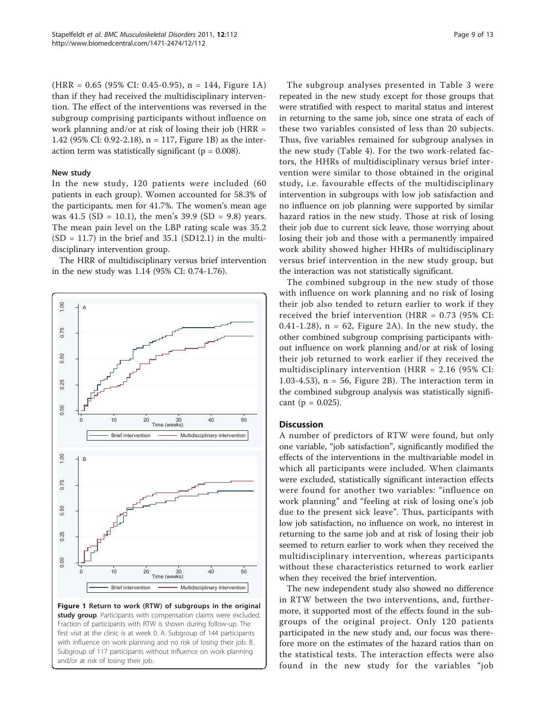$(HRR = 0.65 (95\% CI: 0.45-0.95), n = 144$ , Figure 1A) than if they had received the multidisciplinary intervention. The effect of the interventions was reversed in the subgroup comprising participants without influence on work planning and/or at risk of losing their job (HRR = 1.42 (95% CI: 0.92-2.18), n = 117, Figure 1B) as the interaction term was statistically significant ( $p = 0.008$ ).

#### New study

In the new study, 120 patients were included (60 patients in each group). Women accounted for 58.3% of the participants, men for 41.7%. The women's mean age was 41.5 (SD = 10.1), the men's 39.9 (SD = 9.8) years. The mean pain level on the LBP rating scale was 35.2  $(SD = 11.7)$  in the brief and 35.1  $(SD12.1)$  in the multidisciplinary intervention group.

The HRR of multidisciplinary versus brief intervention in the new study was 1.14 (95% CI: 0.74-1.76).



study group. Participants with compensation claims were excluded. Fraction of participants with RTW is shown during follow-up. The first visit at the clinic is at week 0. A. Subgroup of 144 participants with influence on work planning and no risk of losing their job. B. Subgroup of 117 participants without influence on work planning and/or at risk of losing their job.

The subgroup analyses presented in Table [3](#page-7-0) were repeated in the new study except for those groups that were stratified with respect to marital status and interest in returning to the same job, since one strata of each of these two variables consisted of less than 20 subjects. Thus, five variables remained for subgroup analyses in the new study (Table [4](#page-9-0)). For the two work-related factors, the HHRs of multidisciplinary versus brief intervention were similar to those obtained in the original study, i.e. favourable effects of the multidisciplinary intervention in subgroups with low job satisfaction and no influence on job planning were supported by similar hazard ratios in the new study. Those at risk of losing their job due to current sick leave, those worrying about losing their job and those with a permanently impaired work ability showed higher HHRs of multidisciplinary versus brief intervention in the new study group, but the interaction was not statistically significant.

The combined subgroup in the new study of those with influence on work planning and no risk of losing their job also tended to return earlier to work if they received the brief intervention (HRR = 0.73 (95% CI: 0.41-1.28),  $n = 62$ , Figure [2A](#page-10-0)). In the new study, the other combined subgroup comprising participants without influence on work planning and/or at risk of losing their job returned to work earlier if they received the multidisciplinary intervention (HRR = 2.16 (95% CI: 1.03-4.53),  $n = 56$ , Figure [2B](#page-10-0)). The interaction term in the combined subgroup analysis was statistically significant ( $p = 0.025$ ).

#### **Discussion**

A number of predictors of RTW were found, but only one variable, "job satisfaction", significantly modified the effects of the interventions in the multivariable model in which all participants were included. When claimants were excluded, statistically significant interaction effects were found for another two variables: "influence on work planning" and "feeling at risk of losing one's job due to the present sick leave". Thus, participants with low job satisfaction, no influence on work, no interest in returning to the same job and at risk of losing their job seemed to return earlier to work when they received the multidisciplinary intervention, whereas participants without these characteristics returned to work earlier when they received the brief intervention.

The new independent study also showed no difference in RTW between the two interventions, and, furthermore, it supported most of the effects found in the subgroups of the original project. Only 120 patients participated in the new study and, our focus was therefore more on the estimates of the hazard ratios than on the statistical tests. The interaction effects were also found in the new study for the variables "job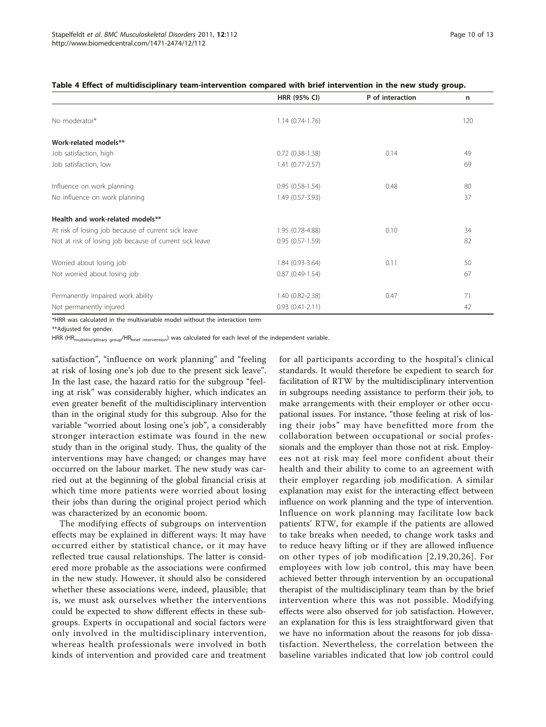|                                                         | <b>HRR (95% CI)</b> | P of interaction | n   |
|---------------------------------------------------------|---------------------|------------------|-----|
| No moderator*                                           |                     |                  |     |
|                                                         | $1.14(0.74-1.76)$   |                  | 120 |
| Work-related models**                                   |                     |                  |     |
| Job satisfaction, high                                  | $0.72(0.38-1.38)$   | 0.14             | 49  |
| Job satisfaction, low                                   | $1.41(0.77 - 2.57)$ |                  | 69  |
| Influence on work planning                              | $0.95(0.58-1.54)$   | 0.48             | 80  |
| No influence on work planning                           | 1.49 (0.57-3.93)    |                  | 37  |
| Health and work-related models**                        |                     |                  |     |
| At risk of losing job because of current sick leave     | 1.95 (0.78-4.88)    | 0.10             | 34  |
| Not at risk of losing job because of current sick leave | $0.95(0.57-1.59)$   |                  | 82  |
| Worried about losing job                                | 1.84 (0.93-3.64)    | 0.11             | 50  |
| Not worried about losing job                            | $0.87(0.49-1.54)$   |                  | 67  |
| Permanently impaired work ability                       | 1.40 (0.82-2.38)    | 0.47             | 71  |
| Not permanently injured                                 | $0.93(0.41-2.11)$   |                  | 42  |

<span id="page-9-0"></span>Table 4 Effect of multidisciplinary team-intervention compared with brief intervention in the new study group.

\*HRR was calculated in the multivariable model without the interaction term

\*\*Adjusted for gender.

HRR (HR<sub>multidisciplinary group</sub>/HR<sub>brief intervention</sub>) was calculated for each level of the independent variable.

satisfaction", "influence on work planning" and "feeling at risk of losing one's job due to the present sick leave". In the last case, the hazard ratio for the subgroup "feeling at risk" was considerably higher, which indicates an even greater benefit of the multidisciplinary intervention than in the original study for this subgroup. Also for the variable "worried about losing one's job", a considerably stronger interaction estimate was found in the new study than in the original study. Thus, the quality of the interventions may have changed; or changes may have occurred on the labour market. The new study was carried out at the beginning of the global financial crisis at which time more patients were worried about losing their jobs than during the original project period which was characterized by an economic boom.

The modifying effects of subgroups on intervention effects may be explained in different ways: It may have occurred either by statistical chance, or it may have reflected true causal relationships. The latter is considered more probable as the associations were confirmed in the new study. However, it should also be considered whether these associations were, indeed, plausible; that is, we must ask ourselves whether the interventions could be expected to show different effects in these subgroups. Experts in occupational and social factors were only involved in the multidisciplinary intervention, whereas health professionals were involved in both kinds of intervention and provided care and treatment for all participants according to the hospital's clinical standards. It would therefore be expedient to search for facilitation of RTW by the multidisciplinary intervention in subgroups needing assistance to perform their job, to make arrangements with their employer or other occupational issues. For instance, "those feeling at risk of losing their jobs" may have benefitted more from the collaboration between occupational or social professionals and the employer than those not at risk. Employees not at risk may feel more confident about their health and their ability to come to an agreement with their employer regarding job modification. A similar explanation may exist for the interacting effect between influence on work planning and the type of intervention. Influence on work planning may facilitate low back patients' RTW, for example if the patients are allowed to take breaks when needed, to change work tasks and to reduce heavy lifting or if they are allowed influence on other types of job modification [[2](#page-12-0),[19](#page-12-0),[20,26\]](#page-12-0). For employees with low job control, this may have been achieved better through intervention by an occupational therapist of the multidisciplinary team than by the brief intervention where this was not possible. Modifying effects were also observed for job satisfaction. However, an explanation for this is less straightforward given that we have no information about the reasons for job dissatisfaction. Nevertheless, the correlation between the baseline variables indicated that low job control could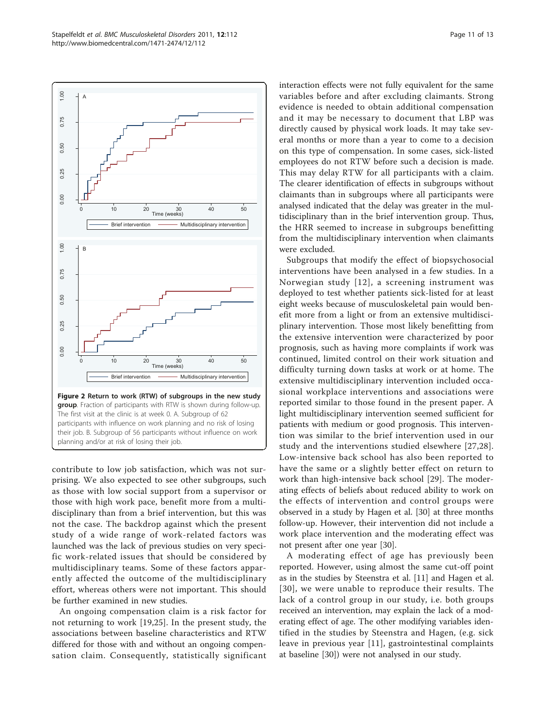<span id="page-10-0"></span>

contribute to low job satisfaction, which was not surprising. We also expected to see other subgroups, such as those with low social support from a supervisor or those with high work pace, benefit more from a multidisciplinary than from a brief intervention, but this was not the case. The backdrop against which the present study of a wide range of work-related factors was launched was the lack of previous studies on very specific work-related issues that should be considered by multidisciplinary teams. Some of these factors apparently affected the outcome of the multidisciplinary effort, whereas others were not important. This should be further examined in new studies.

An ongoing compensation claim is a risk factor for not returning to work [[19,25](#page-12-0)]. In the present study, the associations between baseline characteristics and RTW differed for those with and without an ongoing compensation claim. Consequently, statistically significant interaction effects were not fully equivalent for the same variables before and after excluding claimants. Strong evidence is needed to obtain additional compensation and it may be necessary to document that LBP was directly caused by physical work loads. It may take several months or more than a year to come to a decision on this type of compensation. In some cases, sick-listed employees do not RTW before such a decision is made. This may delay RTW for all participants with a claim. The clearer identification of effects in subgroups without claimants than in subgroups where all participants were analysed indicated that the delay was greater in the multidisciplinary than in the brief intervention group. Thus, the HRR seemed to increase in subgroups benefitting from the multidisciplinary intervention when claimants were excluded.

Subgroups that modify the effect of biopsychosocial interventions have been analysed in a few studies. In a Norwegian study [[12](#page-12-0)], a screening instrument was deployed to test whether patients sick-listed for at least eight weeks because of musculoskeletal pain would benefit more from a light or from an extensive multidisciplinary intervention. Those most likely benefitting from the extensive intervention were characterized by poor prognosis, such as having more complaints if work was continued, limited control on their work situation and difficulty turning down tasks at work or at home. The extensive multidisciplinary intervention included occasional workplace interventions and associations were reported similar to those found in the present paper. A light multidisciplinary intervention seemed sufficient for patients with medium or good prognosis. This intervention was similar to the brief intervention used in our study and the interventions studied elsewhere [[27](#page-12-0),[28](#page-12-0)]. Low-intensive back school has also been reported to have the same or a slightly better effect on return to work than high-intensive back school [\[29](#page-12-0)]. The moderating effects of beliefs about reduced ability to work on the effects of intervention and control groups were observed in a study by Hagen et al. [[30](#page-12-0)] at three months follow-up. However, their intervention did not include a work place intervention and the moderating effect was not present after one year [[30](#page-12-0)].

A moderating effect of age has previously been reported. However, using almost the same cut-off point as in the studies by Steenstra et al. [[11](#page-12-0)] and Hagen et al. [[30\]](#page-12-0), we were unable to reproduce their results. The lack of a control group in our study, i.e. both groups received an intervention, may explain the lack of a moderating effect of age. The other modifying variables identified in the studies by Steenstra and Hagen, (e.g. sick leave in previous year [[11\]](#page-12-0), gastrointestinal complaints at baseline [\[30](#page-12-0)]) were not analysed in our study.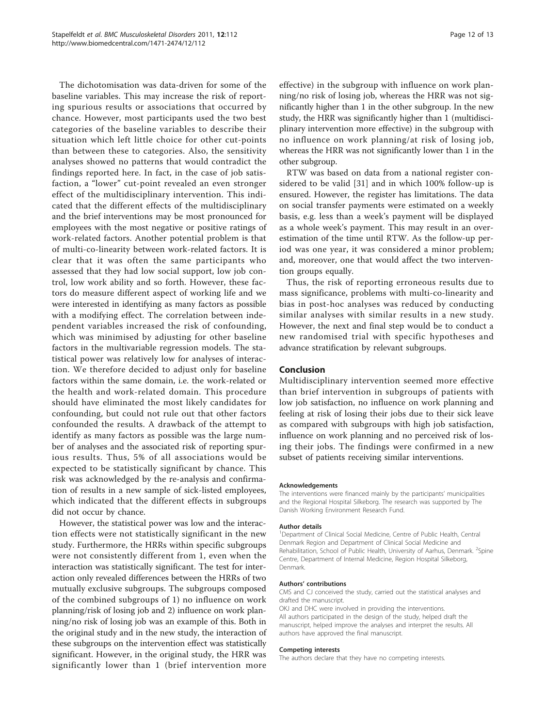The dichotomisation was data-driven for some of the baseline variables. This may increase the risk of reporting spurious results or associations that occurred by chance. However, most participants used the two best categories of the baseline variables to describe their situation which left little choice for other cut-points than between these to categories. Also, the sensitivity analyses showed no patterns that would contradict the findings reported here. In fact, in the case of job satisfaction, a "lower" cut-point revealed an even stronger effect of the multidisciplinary intervention. This indicated that the different effects of the multidisciplinary and the brief interventions may be most pronounced for employees with the most negative or positive ratings of work-related factors. Another potential problem is that of multi-co-linearity between work-related factors. It is clear that it was often the same participants who assessed that they had low social support, low job control, low work ability and so forth. However, these factors do measure different aspect of working life and we were interested in identifying as many factors as possible with a modifying effect. The correlation between independent variables increased the risk of confounding, which was minimised by adjusting for other baseline factors in the multivariable regression models. The statistical power was relatively low for analyses of interaction. We therefore decided to adjust only for baseline factors within the same domain, i.e. the work-related or the health and work-related domain. This procedure should have eliminated the most likely candidates for confounding, but could not rule out that other factors confounded the results. A drawback of the attempt to identify as many factors as possible was the large number of analyses and the associated risk of reporting spurious results. Thus, 5% of all associations would be expected to be statistically significant by chance. This risk was acknowledged by the re-analysis and confirmation of results in a new sample of sick-listed employees, which indicated that the different effects in subgroups did not occur by chance.

However, the statistical power was low and the interaction effects were not statistically significant in the new study. Furthermore, the HRRs within specific subgroups were not consistently different from 1, even when the interaction was statistically significant. The test for interaction only revealed differences between the HRRs of two mutually exclusive subgroups. The subgroups composed of the combined subgroups of 1) no influence on work planning/risk of losing job and 2) influence on work planning/no risk of losing job was an example of this. Both in the original study and in the new study, the interaction of these subgroups on the intervention effect was statistically significant. However, in the original study, the HRR was significantly lower than 1 (brief intervention more effective) in the subgroup with influence on work planning/no risk of losing job, whereas the HRR was not significantly higher than 1 in the other subgroup. In the new study, the HRR was significantly higher than 1 (multidisciplinary intervention more effective) in the subgroup with no influence on work planning/at risk of losing job, whereas the HRR was not significantly lower than 1 in the other subgroup.

RTW was based on data from a national register considered to be valid [[31\]](#page-12-0) and in which 100% follow-up is ensured. However, the register has limitations. The data on social transfer payments were estimated on a weekly basis, e.g. less than a week's payment will be displayed as a whole week's payment. This may result in an overestimation of the time until RTW. As the follow-up period was one year, it was considered a minor problem; and, moreover, one that would affect the two intervention groups equally.

Thus, the risk of reporting erroneous results due to mass significance, problems with multi-co-linearity and bias in post-hoc analyses was reduced by conducting similar analyses with similar results in a new study. However, the next and final step would be to conduct a new randomised trial with specific hypotheses and advance stratification by relevant subgroups.

#### Conclusion

Multidisciplinary intervention seemed more effective than brief intervention in subgroups of patients with low job satisfaction, no influence on work planning and feeling at risk of losing their jobs due to their sick leave as compared with subgroups with high job satisfaction, influence on work planning and no perceived risk of losing their jobs. The findings were confirmed in a new subset of patients receiving similar interventions.

#### Acknowledgements

The interventions were financed mainly by the participants' municipalities and the Regional Hospital Silkeborg. The research was supported by The Danish Working Environment Research Fund.

#### Author details

<sup>1</sup>Department of Clinical Social Medicine, Centre of Public Health, Central Denmark Region and Department of Clinical Social Medicine and Rehabilitation, School of Public Health, University of Aarhus, Denmark. <sup>2</sup>Spine Centre, Department of Internal Medicine, Region Hospital Silkeborg, Denmark.

#### Authors' contributions

CMS and CJ conceived the study, carried out the statistical analyses and drafted the manuscript.

OKJ and DHC were involved in providing the interventions. All authors participated in the design of the study, helped draft the manuscript, helped improve the analyses and interpret the results. All authors have approved the final manuscript.

#### Competing interests

The authors declare that they have no competing interests.